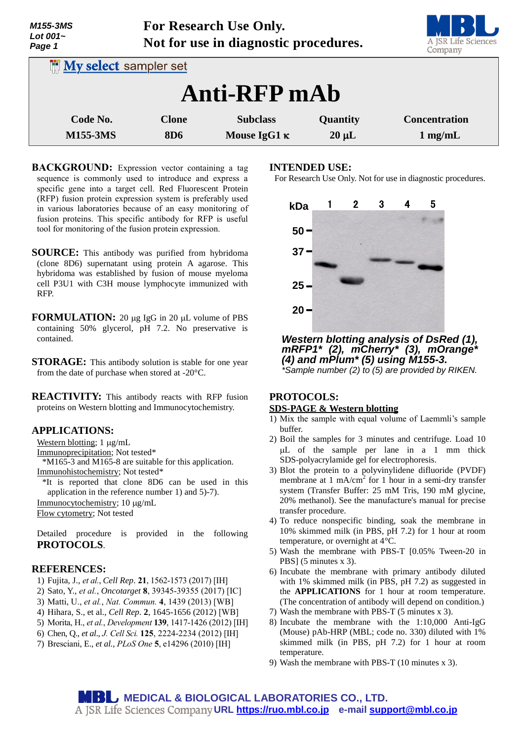| <b>M155-3MS</b><br>Lot $001-$<br>Page 1 | For Research Use Only.<br>Not for use in diagnostic procedures. |                     |            | A JSR Life Sciences<br>Company |
|-----------------------------------------|-----------------------------------------------------------------|---------------------|------------|--------------------------------|
| <b>INV select sampler set</b>           |                                                                 |                     |            |                                |
| <b>Anti-RFP</b> mAb                     |                                                                 |                     |            |                                |
| Code No.                                | <b>Clone</b>                                                    | <b>Subclass</b>     | Quantity   | <b>Concentration</b>           |
| <b>M155-3MS</b>                         | <b>8D6</b>                                                      | Mouse IgG1 $\kappa$ | $20 \mu L$ | $1$ mg/mL                      |

**BACKGROUND:** Expression vector containing a tag sequence is commonly used to introduce and express a specific gene into a target cell. Red Fluorescent Protein (RFP) fusion protein expression system is preferably used in various laboratories because of an easy monitoring of fusion proteins. This specific antibody for RFP is useful tool for monitoring of the fusion protein expression.

- **SOURCE:** This antibody was purified from hybridoma (clone 8D6) supernatant using protein A agarose. This hybridoma was established by fusion of mouse myeloma cell P3U1 with C3H mouse lymphocyte immunized with RFP.
- **FORMULATION:** 20 µg IgG in 20 µL volume of PBS containing 50% glycerol, pH 7.2. No preservative is contained.
- **STORAGE:** This antibody solution is stable for one year from the date of purchase when stored at -20°C.

**REACTIVITY:** This antibody reacts with RFP fusion proteins on Western blotting and Immunocytochemistry.

## **APPLICATIONS:**

Western blotting;  $1 \mu g/mL$ 

Immunoprecipitation; Not tested\*

\*M165-3 and M165-8 are suitable for this application.

Immunohistochemistry; Not tested\*

\*It is reported that clone 8D6 can be used in this application in the reference number 1) and 5)-7).

Immunocytochemistry; 10 µg/mL

Flow cytometry; Not tested

Detailed procedure is provided in the following **PROTOCOLS**.

## **REFERENCES:**

- 1) Fujita, J., *et al.*, *Cell Rep*. **21**, 1562-1573 (2017) [IH]
- 2) Sato, Y., *et al.*, *Oncotarget* **8**, 39345-39355 (2017) [IC]
- 3) Matti, U., *et al.*, *Nat. Commun.* **4**, 1439 (2013) [WB]
- 4) Hihara, S., et al., *Cell Rep*. **2**, 1645-1656 (2012) [WB]
- 5) Morita, H., *et al.*, *Development* **139**, 1417-1426 (2012) [IH]
- 6) Chen, Q., *et al*., *J. Cell Sci.* **125**, 2224-2234 (2012) [IH]
- 7) Bresciani, E., *et al., PLoS One* **5**, e14296 (2010) [IH]

## **INTENDED USE:**



*Western blotting analysis of DsRed (1), mRFP1\* (2), mCherry\* (3), mOrange\* (4) and mPlum\* (5) using M155-3. \*Sample number (2) to (5) are provided by RIKEN.*

# **PROTOCOLS:**

## **SDS-PAGE & Western blotting**

- 1) Mix the sample with equal volume of Laemmli's sample buffer.
- 2) Boil the samples for 3 minutes and centrifuge. Load 10 L of the sample per lane in a 1 mm thick SDS-polyacrylamide gel for electrophoresis.
- 3) Blot the protein to a polyvinylidene difluoride (PVDF) membrane at 1 mA/cm<sup>2</sup> for 1 hour in a semi-dry transfer system (Transfer Buffer: 25 mM Tris, 190 mM glycine, 20% methanol). See the manufacture's manual for precise transfer procedure.
- 4) To reduce nonspecific binding, soak the membrane in 10% skimmed milk (in PBS, pH 7.2) for 1 hour at room temperature, or overnight at 4°C.
- 5) Wash the membrane with PBS-T [0.05% Tween-20 in PBS] (5 minutes x 3).
- 6) Incubate the membrane with primary antibody diluted with 1% skimmed milk (in PBS, pH 7.2) as suggested in the **APPLICATIONS** for 1 hour at room temperature. (The concentration of antibody will depend on condition.)
- 7) Wash the membrane with PBS-T (5 minutes x 3).
- 8) Incubate the membrane with the 1:10,000 Anti-IgG (Mouse) pAb-HRP (MBL; code no. 330) diluted with 1% skimmed milk (in PBS, pH 7.2) for 1 hour at room temperature.
- 9) Wash the membrane with PBS-T (10 minutes x 3).